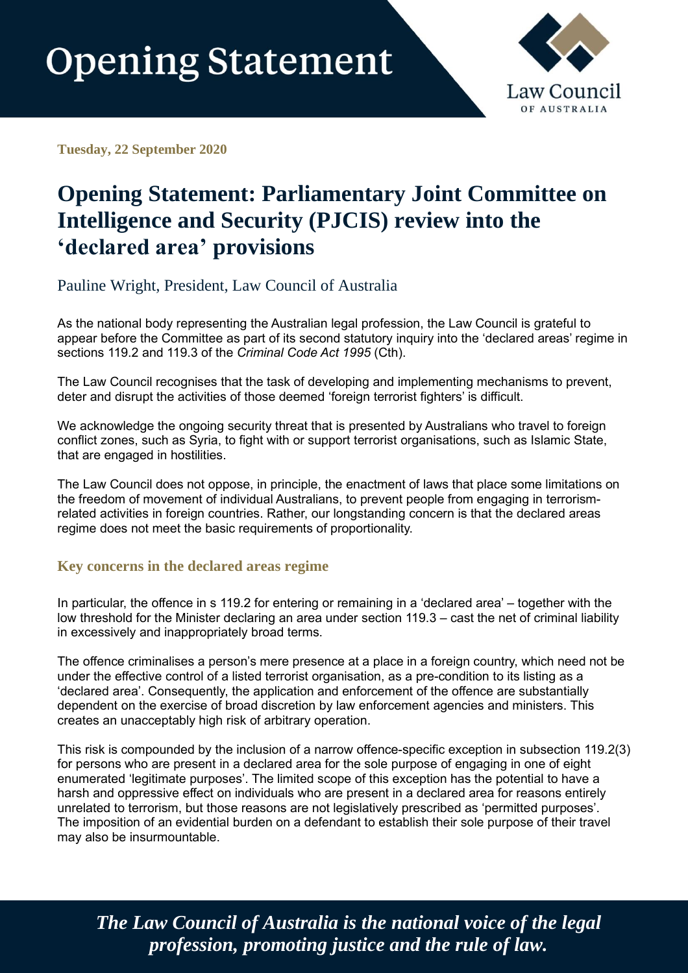

**Tuesday, 22 September 2020**

## **Opening Statement: Parliamentary Joint Committee on Intelligence and Security (PJCIS) review into the 'declared area' provisions**

Pauline Wright, President, Law Council of Australia

As the national body representing the Australian legal profession, the Law Council is grateful to appear before the Committee as part of its second statutory inquiry into the 'declared areas' regime in sections 119.2 and 119.3 of the *Criminal Code Act 1995* (Cth).

The Law Council recognises that the task of developing and implementing mechanisms to prevent, deter and disrupt the activities of those deemed 'foreign terrorist fighters' is difficult.

We acknowledge the ongoing security threat that is presented by Australians who travel to foreign conflict zones, such as Syria, to fight with or support terrorist organisations, such as Islamic State, that are engaged in hostilities.

The Law Council does not oppose, in principle, the enactment of laws that place some limitations on the freedom of movement of individual Australians, to prevent people from engaging in terrorismrelated activities in foreign countries. Rather, our longstanding concern is that the declared areas regime does not meet the basic requirements of proportionality.

## **Key concerns in the declared areas regime**

In particular, the offence in s 119.2 for entering or remaining in a 'declared area' – together with the low threshold for the Minister declaring an area under section 119.3 – cast the net of criminal liability in excessively and inappropriately broad terms.

The offence criminalises a person's mere presence at a place in a foreign country, which need not be under the effective control of a listed terrorist organisation, as a pre-condition to its listing as a 'declared area'. Consequently, the application and enforcement of the offence are substantially dependent on the exercise of broad discretion by law enforcement agencies and ministers. This creates an unacceptably high risk of arbitrary operation.

This risk is compounded by the inclusion of a narrow offence-specific exception in subsection 119.2(3) for persons who are present in a declared area for the sole purpose of engaging in one of eight enumerated 'legitimate purposes'. The limited scope of this exception has the potential to have a harsh and oppressive effect on individuals who are present in a declared area for reasons entirely unrelated to terrorism, but those reasons are not legislatively prescribed as 'permitted purposes'. The imposition of an evidential burden on a defendant to establish their sole purpose of their travel may also be insurmountable.

*The Law Council of Australia is the national voice of the legal profession, promoting justice and the rule of law.*